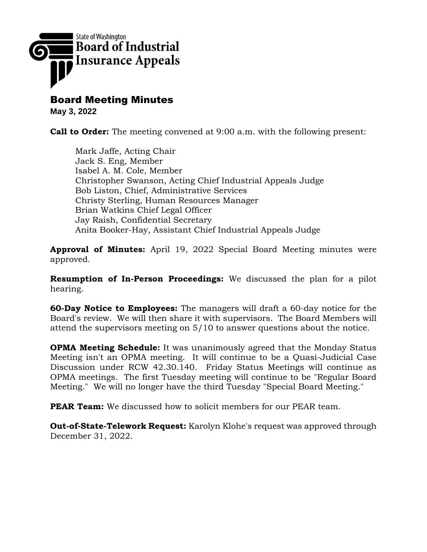

Board Meeting Minutes

**May 3, 2022**

**Call to Order:** The meeting convened at 9:00 a.m. with the following present:

Mark Jaffe, Acting Chair Jack S. Eng, Member Isabel A. M. Cole, Member Christopher Swanson, Acting Chief Industrial Appeals Judge Bob Liston, Chief, Administrative Services Christy Sterling, Human Resources Manager Brian Watkins Chief Legal Officer Jay Raish, Confidential Secretary Anita Booker-Hay, Assistant Chief Industrial Appeals Judge

**Approval of Minutes:** April 19, 2022 Special Board Meeting minutes were approved.

**Resumption of In-Person Proceedings:** We discussed the plan for a pilot hearing.

**60-Day Notice to Employees:** The managers will draft a 60-day notice for the Board's review. We will then share it with supervisors. The Board Members will attend the supervisors meeting on 5/10 to answer questions about the notice.

**OPMA Meeting Schedule:** It was unanimously agreed that the Monday Status Meeting isn't an OPMA meeting. It will continue to be a Quasi-Judicial Case Discussion under RCW 42.30.140. Friday Status Meetings will continue as OPMA meetings. The first Tuesday meeting will continue to be "Regular Board Meeting." We will no longer have the third Tuesday "Special Board Meeting."

**PEAR Team:** We discussed how to solicit members for our PEAR team.

**Out-of-State-Telework Request:** Karolyn Klohe's request was approved through December 31, 2022.